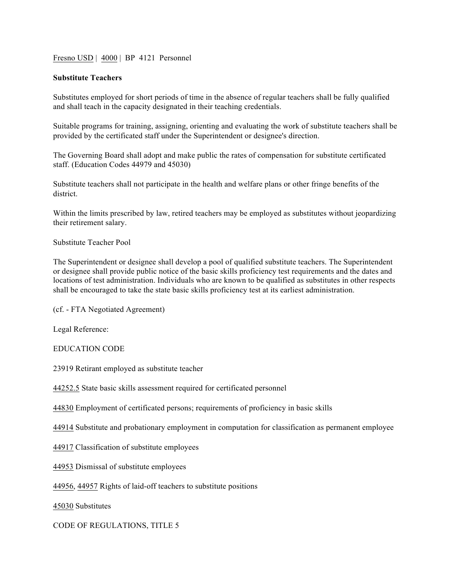Fresno USD | 4000 | BP 4121 Personnel

## **Substitute Teachers**

Substitutes employed for short periods of time in the absence of regular teachers shall be fully qualified and shall teach in the capacity designated in their teaching credentials.

Suitable programs for training, assigning, orienting and evaluating the work of substitute teachers shall be provided by the certificated staff under the Superintendent or designee's direction.

The Governing Board shall adopt and make public the rates of compensation for substitute certificated staff. (Education Codes 44979 and 45030)

Substitute teachers shall not participate in the health and welfare plans or other fringe benefits of the district.

Within the limits prescribed by law, retired teachers may be employed as substitutes without jeopardizing their retirement salary.

Substitute Teacher Pool

The Superintendent or designee shall develop a pool of qualified substitute teachers. The Superintendent or designee shall provide public notice of the basic skills proficiency test requirements and the dates and locations of test administration. Individuals who are known to be qualified as substitutes in other respects shall be encouraged to take the state basic skills proficiency test at its earliest administration.

(cf. - FTA Negotiated Agreement)

Legal Reference:

EDUCATION CODE

23919 Retirant employed as substitute teacher

44252.5 State basic skills assessment required for certificated personnel

44830 Employment of certificated persons; requirements of proficiency in basic skills

44914 Substitute and probationary employment in computation for classification as permanent employee

44917 Classification of substitute employees

44953 Dismissal of substitute employees

44956, 44957 Rights of laid-off teachers to substitute positions

45030 Substitutes

CODE OF REGULATIONS, TITLE 5